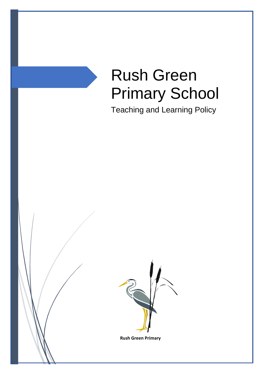# Rush Green Primary School

Teaching and Learning Policy



**Rush Green Primary**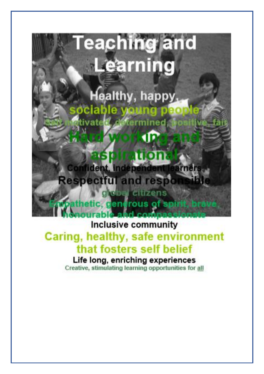

# Caring, healthy, safe environment that fosters self belief

Life long, enriching experiences Creative, stimulating learning opportunities for all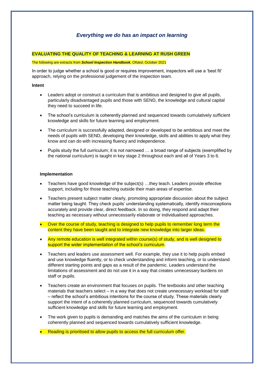# *Everything we do has an impact on learning*

#### **EVALUATING THE QUALITY OF TEACHING & LEARNING AT RUSH GREEN**

#### The following are extracts from *School Inspection Handbook, Ofsted*, October 2021

In order to judge whether a school is good or requires improvement, inspectors will use a 'best fit' approach, relying on the professional judgement of the inspection team.

#### **Intent**

- Leaders adopt or construct a curriculum that is ambitious and designed to give all pupils, particularly disadvantaged pupils and those with SEND, the knowledge and cultural capital they need to succeed in life.
- The school's curriculum is coherently planned and sequenced towards cumulatively sufficient knowledge and skills for future learning and employment.
- The curriculum is successfully adapted, designed or developed to be ambitious and meet the needs of pupils with SEND, developing their knowledge, skills and abilities to apply what they know and can do with increasing fluency and independence.
- Pupils study the full curriculum; it is not narrowed … a broad range of subjects (exemplified by the national curriculum) is taught in key stage 2 throughout each and all of Years 3 to 6.

#### **Implementation**

- Teachers have good knowledge of the subject(s) …they teach. Leaders provide effective support, including for those teaching outside their main areas of expertise.
- Teachers present subject matter clearly, promoting appropriate discussion about the subject matter being taught. They check pupils' understanding systematically, identify misconceptions accurately and provide clear, direct feedback. In so doing, they respond and adapt their teaching as necessary without unnecessarily elaborate or individualised approaches.
- Over the course of study, teaching is designed to help pupils to remember long term the content they have been taught and to integrate new knowledge into larger ideas.
- Any remote education is well integrated within course(s) of study, and is well designed to support the wider implementation of the school's curriculum.
- Teachers and leaders use assessment well. For example, they use it to help pupils embed and use knowledge fluently, or to check understanding and inform teaching, or to understand different starting points and gaps as a result of the pandemic. Leaders understand the limitations of assessment and do not use it in a way that creates unnecessary burdens on staff or pupils.
- Teachers create an environment that focuses on pupils. The textbooks and other teaching materials that teachers select – in a way that does not create unnecessary workload for staff – reflect the school's ambitious intentions for the course of study. These materials clearly support the intent of a coherently planned curriculum, sequenced towards cumulatively sufficient knowledge and skills for future learning and employment.
- The work given to pupils is demanding and matches the aims of the curriculum in being coherently planned and sequenced towards cumulatively sufficient knowledge.
- Reading is prioritised to allow pupils to access the full curriculum offer.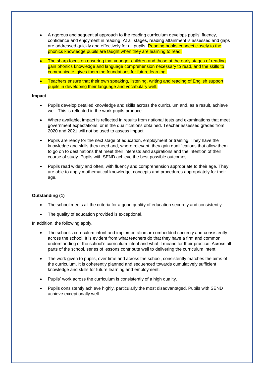- A rigorous and sequential approach to the reading curriculum develops pupils' fluency, confidence and enjoyment in reading. At all stages, reading attainment is assessed and gaps are addressed quickly and effectively for all pupils. Reading books connect closely to the phonics knowledge pupils are taught when they are learning to read.
- The sharp focus on ensuring that younger children and those at the early stages of reading gain phonics knowledge and language comprehension necessary to read, and the skills to communicate, gives them the foundations for future learning.
- Teachers ensure that their own speaking, listening, writing and reading of English support pupils in developing their language and vocabulary well.

#### **Impact**

- Pupils develop detailed knowledge and skills across the curriculum and, as a result, achieve well. This is reflected in the work pupils produce.
- Where available, impact is reflected in results from national tests and examinations that meet government expectations, or in the qualifications obtained. Teacher assessed grades from 2020 and 2021 will not be used to assess impact.
- Pupils are ready for the next stage of education, employment or training. They have the knowledge and skills they need and, where relevant, they gain qualifications that allow them to go on to destinations that meet their interests and aspirations and the intention of their course of study. Pupils with SEND achieve the best possible outcomes.
- Pupils read widely and often, with fluency and comprehension appropriate to their age. They are able to apply mathematical knowledge, concepts and procedures appropriately for their age.

#### **Outstanding (1)**

- The school meets all the criteria for a good quality of education securely and consistently.
- The quality of education provided is exceptional.

In addition, the following apply.

- The school's curriculum intent and implementation are embedded securely and consistently across the school. It is evident from what teachers do that they have a firm and common understanding of the school's curriculum intent and what it means for their practice. Across all parts of the school, series of lessons contribute well to delivering the curriculum intent.
- The work given to pupils, over time and across the school, consistently matches the aims of the curriculum. It is coherently planned and sequenced towards cumulatively sufficient knowledge and skills for future learning and employment.
- Pupils' work across the curriculum is consistently of a high quality.
- Pupils consistently achieve highly, particularly the most disadvantaged. Pupils with SEND achieve exceptionally well.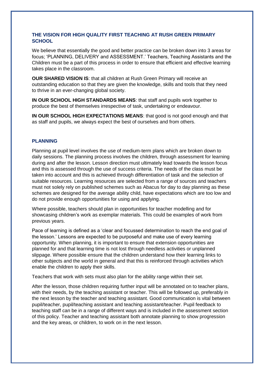#### **THE VISION FOR HIGH QUALITY FIRST TEACHING AT RUSH GREEN PRIMARY SCHOOL**

We believe that essentially the good and better practice can be broken down into 3 areas for focus; 'PLANNING, DELIVERY and ASSESSMENT.' Teachers, Teaching Assistants and the Children must be a part of this process in order to ensure that efficient and effective learning takes place in the classroom.

**OUR SHARED VISION IS**: that all children at Rush Green Primary will receive an outstanding education so that they are given the knowledge, skills and tools that they need to thrive in an ever-changing global society.

**IN OUR SCHOOL HIGH STANDARDS MEANS**: that staff and pupils work together to produce the best of themselves irrespective of task, undertaking or endeavour.

**IN OUR SCHOOL HIGH EXPECTATIONS MEANS**: that good is not good enough and that as staff and pupils, we always expect the best of ourselves and from others.

#### **PLANNING**

Planning at pupil level involves the use of medium-term plans which are broken down to daily sessions. The planning process involves the children, through assessment for learning during and after the lesson. Lesson direction must ultimately lead towards the lesson focus and this is assessed through the use of success criteria. The needs of the class must be taken into account and this is achieved through differentiation of task and the selection of suitable resources. Learning resources are selected from a range of sources and teachers must not solely rely on published schemes such as Abacus for day to day planning as these schemes are designed for the average ability child, have expectations which are too low and do not provide enough opportunities for using and applying.

Where possible, teachers should plan in opportunities for teacher modelling and for showcasing children's work as exemplar materials. This could be examples of work from previous years.

Pace of learning is defined as a 'clear and focussed determination to reach the end goal of the lesson.' Lessons are expected to be purposeful and make use of every learning opportunity. When planning, it is important to ensure that extension opportunities are planned for and that learning time is not lost through needless activities or unplanned slippage. Where possible ensure that the children understand how their learning links to other subjects and the world in general and that this is reinforced through activities which enable the children to apply their skills.

Teachers that work with sets must also plan for the ability range within their set.

After the lesson, those children requiring further input will be annotated on to teacher plans, with their needs, by the teaching assistant or teacher. This will be followed up, preferably in the next lesson by the teacher and teaching assistant. Good communication is vital between pupil/teacher, pupil/teaching assistant and teaching assistant/teacher. Pupil feedback to teaching staff can be in a range of different ways and is included in the assessment section of this policy. Teacher and teaching assistant both annotate planning to show progression and the key areas, or children, to work on in the next lesson.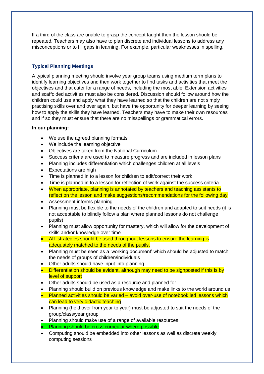If a third of the class are unable to grasp the concept taught then the lesson should be repeated. Teachers may also have to plan discrete and individual lessons to address any misconceptions or to fill gaps in learning. For example, particular weaknesses in spelling.

## **Typical Planning Meetings**

A typical planning meeting should involve year group teams using medium term plans to identify learning objectives and then work together to find tasks and activities that meet the objectives and that cater for a range of needs, including the most able. Extension activities and scaffolded activities must also be considered. Discussion should follow around how the children could use and apply what they have learned so that the children are not simply practising skills over and over again, but have the opportunity for deeper learning by seeing how to apply the skills they have learned. Teachers may have to make their own resources and if so they must ensure that there are no misspellings or grammatical errors.

#### **In our planning:**

- We use the agreed planning formats
- We include the learning objective
- Objectives are taken from the National Curriculum
- Success criteria are used to measure progress and are included in lesson plans
- Planning includes differentiation which challenges children at all levels
- Expectations are high
- Time is planned in to a lesson for children to edit/correct their work
- Time is planned in to a lesson for reflection of work against the success criteria
- When appropriate, planning is annotated by teachers and teaching assistants to reflect on the lesson and make suggestions/recommendations for the following day
- Assessment informs planning
- Planning must be flexible to the needs of the children and adapted to suit needs (it is not acceptable to blindly follow a plan where planned lessons do not challenge pupils)
- Planning must allow opportunity for mastery, which will allow for the development of skills and/or knowledge over time
- AfL strategies should be used throughout lessons to ensure the learning is adequately matched to the needs of the pupils.
- Planning must be seen as a 'working document' which should be adjusted to match the needs of groups of children/individuals
- Other adults should have input into planning
- Differentiation should be evident, although may need to be signposted if this is by level of support
- Other adults should be used as a resource and planned for
- Planning should build on previous knowledge and make links to the world around us
- Planned activities should be varied avoid over-use of notebook led lessons which can lead to very didactic teaching
- Planning (held over from year to year) must be adjusted to suit the needs of the group/class/year group
- Planning should make use of a range of available resources
- Planning should be cross curricular where possible
- Computing should be embedded into other lessons as well as discrete weekly computing sessions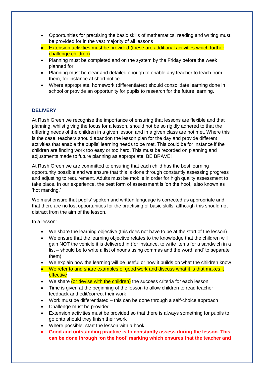- Opportunities for practising the basic skills of mathematics, reading and writing must be provided for in the vast majority of all lessons
- Extension activities must be provided (these are additional activities which further challenge children)
- Planning must be completed and on the system by the Friday before the week planned for
- Planning must be clear and detailed enough to enable any teacher to teach from them, for instance at short notice
- Where appropriate, homework (differentiated) should consolidate learning done in school or provide an opportunity for pupils to research for the future learning.

## **DELIVERY**

At Rush Green we recognise the importance of ensuring that lessons are flexible and that planning, whilst giving the focus for a lesson, should not be so rigidly adhered to that the differing needs of the children in a given lesson and in a given class are not met. Where this is the case, teachers should abandon the lesson plan for the day and provide different activities that enable the pupils' learning needs to be met. This could be for instance if the children are finding work too easy or too hard. This must be recorded on planning and adjustments made to future planning as appropriate. BE BRAVE!

At Rush Green we are committed to ensuring that each child has the best learning opportunity possible and we ensure that this is done through constantly assessing progress and adjusting to requirement. Adults must be mobile in order for high quality assessment to take place. In our experience, the best form of assessment is 'on the hoof,' also known as 'hot marking.'

We must ensure that pupils' spoken and written language is corrected as appropriate and that there are no lost opportunities for the practising of basic skills, although this should not distract from the aim of the lesson.

In a lesson:

- We share the learning objective (this does not have to be at the start of the lesson)
- We ensure that the learning objective relates to the knowledge that the children will gain NOT the vehicle it is delivered in (for instance, to write items for a sandwich in a list – should be to write a list of nouns using commas and the word 'and' to separate them)
- We explain how the learning will be useful or how it builds on what the children know
- We refer to and share examples of good work and discuss what it is that makes it effective
- We share (or devise with the children) the success criteria for each lesson
- Time is given at the beginning of the lesson to allow children to read teacher feedback and edit/correct their work
- Work must be differentiated this can be done through a self-choice approach
- Challenge must be provided
- Extension activities must be provided so that there is always something for pupils to go onto should they finish their work
- Where possible, start the lesson with a hook
- **Good and outstanding practice is to constantly assess during the lesson. This can be done through 'on the hoof' marking which ensures that the teacher and**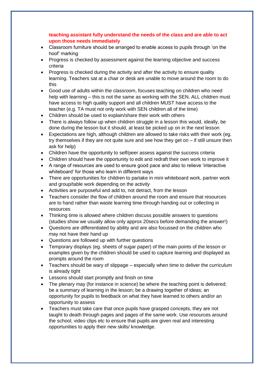#### **teaching assistant fully understand the needs of the class and are able to act upon those needs immediately**

- Classroom furniture should be arranged to enable access to pupils through 'on the hoof' marking
- Progress is checked by assessment against the learning objective and success criteria
- Progress is checked during the activity and after the activity to ensure quality learning. Teachers sat at a chair or desk are unable to move around the room to do this
- Good use of adults within the classroom, focuses teaching on children who need help with learning – this is not the same as working with the SEN. ALL children must have access to high quality support and all children MUST have access to the teacher (e.g. TA must not only work with SEN children all of the time)
- Children should be used to explain/share their work with others
- There is always follow up when children struggle in a lesson this would, ideally, be done during the lesson but it should, at least be picked up on in the next lesson
- Expectations are high, although children are allowed to take risks with their work (eg. try themselves if they are not quite sure and see how they get on – if still unsure then ask for help)
- Children have the opportunity to self/peer assess against the success criteria
- Children should have the opportunity to edit and redraft their own work to improve it
- A range of resources are used to ensure good pace and also to relieve 'interactive whiteboard' for those who learn in different ways
- There are opportunities for children to partake in mini whiteboard work, partner work and group/table work depending on the activity
- Activities are purposeful and add to, not detract, from the lesson
- Teachers consider the flow of children around the room and ensure that resources are to hand rather than waste learning time through handing out or collecting in resources
- Thinking time is allowed where children discuss possible answers to questions (studies show we usually allow only approx 20secs before demanding the answer!)
- Questions are differentiated by ability and are also focussed on the children who may not have their hand up
- Questions are followed up with further questions
- Temporary displays (eg. sheets of sugar paper) of the main points of the lesson or examples given by the children should be used to capture learning and displayed as prompts around the room
- Teachers should be wary of slippage especially when time to deliver the curriculum is already tight
- Lessons should start promptly and finish on time
- The plenary may (for instance in science) be where the teaching point is delivered; be a summary of learning in the lesson; be a drawing together of ideas; an opportunity for pupils to feedback on what they have learned to others and/or an opportunity to assess
- Teachers must take care that once pupils have grasped concepts, they are not taught to death through pages and pages of the same work. Use resources around the school, video clips etc to ensure that pupils are given real and interesting opportunities to apply their new skills/ knowledge.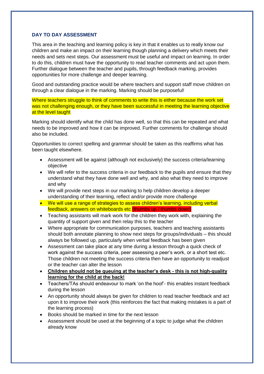#### **DAY TO DAY ASSESSMENT**

This area in the teaching and learning policy is key in that it enables us to really know our children and make an impact on their learning though planning a delivery which meets their needs and sets next steps. Our assessment must be useful and impact on learning. In order to do this, children must have the opportunity to read teacher comments and act upon them. Further dialogue between the teacher and pupils, through feedback marking, provides opportunities for more challenge and deeper learning.

Good and outstanding practice would be where teachers and support staff move children on through a clear dialogue in the marking. Marking should be purposeful!

Where teachers struggle to think of comments to write this is either because the work set was not challenging enough, or they have been successful in meeting the learning objective at the level taught

Marking should identify what the child has done well, so that this can be repeated and what needs to be improved and how it can be improved. Further comments for challenge should also be included.

Opportunities to correct spelling and grammar should be taken as this reaffirms what has been taught elsewhere.

- Assessment will be against (although not exclusively) the success criteria/learning objective
- We will refer to the success criteria in our feedback to the pupils and ensure that they understand what they have done well and why, and also what they need to improve and why
- We will provide next steps in our marking to help children develop a deeper understanding of their learning, reflect and/or provide more challenge
- We will use a range of strategies to assess children's learning, including verbal feedback, answers on whiteboards etc (thumbs up / thumbs down)
- Teaching assistants will mark work for the children they work with, explaining the quantity of support given and then relay this to the teacher
- Where appropriate for communication purposes, teachers and teaching assistants should both annotate planning to show next steps for groups/individuals – this should always be followed up, particularly when verbal feedback has been given
- Assessment can take place at any time during a lesson through a quick check of work against the success criteria, peer assessing a peer's work, or a short test etc. Those children not meeting the success criteria then have an opportunity to readjust or the teacher can alter the lesson
- **Children should not be queuing at the teacher's desk - this is not high-quality learning for the child at the back!**
- Teachers/TAs should endeavour to mark 'on the hoof'- this enables instant feedback during the lesson
- An opportunity should always be given for children to read teacher feedback and act upon it to improve their work (this reinforces the fact that making mistakes is a part of the learning process)
- Books should be marked in time for the next lesson
- Assessment should be used at the beginning of a topic to judge what the children already know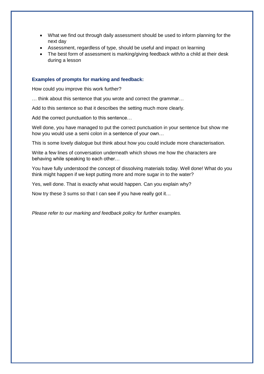- What we find out through daily assessment should be used to inform planning for the next day
- Assessment, regardless of type, should be useful and impact on learning
- The best form of assessment is marking/giving feedback with/to a child at their desk during a lesson

#### **Examples of prompts for marking and feedback:**

How could you improve this work further?

… think about this sentence that you wrote and correct the grammar…

Add to this sentence so that it describes the setting much more clearly.

Add the correct punctuation to this sentence…

Well done, you have managed to put the correct punctuation in your sentence but show me how you would use a semi colon in a sentence of your own…

This is some lovely dialogue but think about how you could include more characterisation.

Write a few lines of conversation underneath which shows me how the characters are behaving while speaking to each other…

You have fully understood the concept of dissolving materials today. Well done! What do you think might happen if we kept putting more and more sugar in to the water?

Yes, well done. That is exactly what would happen. Can you explain why?

Now try these 3 sums so that I can see if you have really got it…

*Please refer to our marking and feedback policy for further examples.*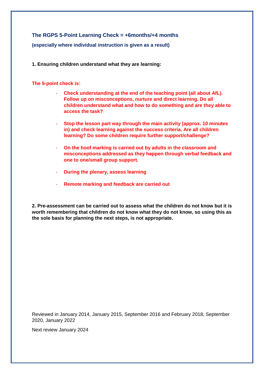**The RGPS 5-Point Learning Check = +6months/+4 months (especially where individual instruction is given as a result)** 

**1. Ensuring children understand what they are learning:**

#### **The 5-point check is:**

- **Check understanding at the end of the teaching point (all about AfL). Follow up on misconceptions, nurture and direct learning. Do all children understand what and how to do something and are they able to access the task?**
- **Stop the lesson part way through the main activity (approx. 10 minutes in) and check learning against the success criteria. Are all children learning? Do some children require further support/challenge?**
- **On the hoof marking is carried out by adults in the classroom and misconceptions addressed as they happen through verbal feedback and one to one/small group support.**
- **During the plenary, assess learning**
- **Remote marking and feedback are carried out**

**2. Pre-assessment can be carried out to assess what the children do not know but it is worth remembering that children do not know what they do not know, so using this as the sole basis for planning the next steps, is not appropriate.** 

Reviewed in January 2014, January 2015, September 2016 and February 2018, September 2020, January 2022

Next review January 2024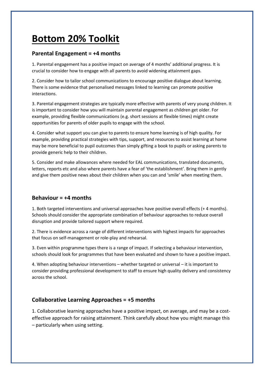# **Bottom 20% Toolkit**

# **Parental Engagement = +4 months**

1. Parental engagement has a positive impact on average of 4 months' additional progress. It is crucial to consider how to engage with all parents to avoid widening attainment gaps.

2. Consider how to tailor school communications to encourage positive dialogue about learning. There is some evidence that personalised messages linked to learning can promote positive interactions.

3. Parental engagement strategies are typically more effective with parents of very young children. It is important to consider how you will maintain parental engagement as children get older. For example, providing flexible communications (e.g. short sessions at flexible times) might create opportunities for parents of older pupils to engage with the school.

4. Consider what support you can give to parents to ensure home learning is of high quality. For example, providing practical strategies with tips, support, and resources to assist learning at home may be more beneficial to pupil outcomes than simply gifting a book to pupils or asking parents to provide generic help to their children.

5. Consider and make allowances where needed for EAL communications, translated documents, letters, reports etc and also where parents have a fear of 'the establishment'. Bring them in gently and give them positive news about their children when you can and 'smile' when meeting them.

# **Behaviour = +4 months**

1. Both targeted interventions and universal approaches have positive overall effects (+ 4 months). Schools should consider the appropriate combination of behaviour approaches to reduce overall disruption and provide tailored support where required.

2. There is evidence across a range of different interventions with highest impacts for approaches that focus on self-management or role-play and rehearsal.

3. Even within programme types there is a range of impact. If selecting a behaviour intervention, schools should look for programmes that have been evaluated and shown to have a positive impact.

4. When adopting behaviour interventions – whether targeted or universal – it is important to consider providing professional development to staff to ensure high quality delivery and consistency across the school.

# **Collaborative Learning Approaches = +5 months**

1. Collaborative learning approaches have a positive impact, on average, and may be a costeffective approach for raising attainment. Think carefully about how you might manage this – particularly when using setting.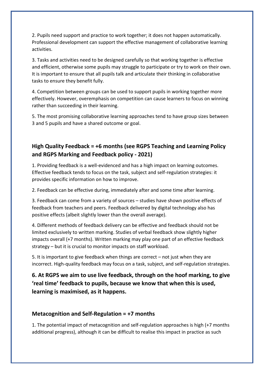2. Pupils need support and practice to work together; it does not happen automatically. Professional development can support the effective management of collaborative learning activities.

3. Tasks and activities need to be designed carefully so that working together is effective and efficient, otherwise some pupils may struggle to participate or try to work on their own. It is important to ensure that all pupils talk and articulate their thinking in collaborative tasks to ensure they benefit fully.

4. Competition between groups can be used to support pupils in working together more effectively. However, overemphasis on competition can cause learners to focus on winning rather than succeeding in their learning.

5. The most promising collaborative learning approaches tend to have group sizes between 3 and 5 pupils and have a shared outcome or goal.

# **High Quality Feedback = +6 months (see RGPS Teaching and Learning Policy and RGPS Marking and Feedback policy - 2021)**

1. Providing feedback is a well-evidenced and has a high impact on learning outcomes. Effective feedback tends to focus on the task, subject and self-regulation strategies: it provides specific information on how to improve.

2. Feedback can be effective during, immediately after and some time after learning.

3. Feedback can come from a variety of sources – studies have shown positive effects of feedback from teachers and peers. Feedback delivered by digital technology also has positive effects (albeit slightly lower than the overall average).

4. Different methods of feedback delivery can be effective and feedback should not be limited exclusively to written marking. Studies of verbal feedback show slightly higher impacts overall (+7 months). Written marking may play one part of an effective feedback strategy – but it is crucial to monitor impacts on staff workload.

5. It is important to give feedback when things are correct – not just when they are incorrect. High-quality feedback may focus on a task, subject, and self-regulation strategies.

**6. At RGPS we aim to use live feedback, through on the hoof marking, to give 'real time' feedback to pupils, because we know that when this is used, learning is maximised, as it happens.** 

# **Metacognition and Self-Regulation = +7 months**

1. The potential impact of metacognition and self-regulation approaches is high (+7 months additional progress), although it can be difficult to realise this impact in practice as such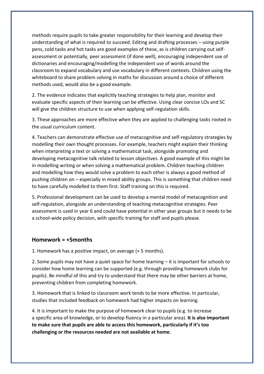methods require pupils to take greater responsibility for their learning and develop their understanding of what is required to succeed. Editing and drafting processes – using purple pens, cold tasks and hot tasks are good examples of these, as is children carrying out selfassessment or potentially, peer assessment (if done well), encouraging independent use of dictionaries and encouraging/modelling the independent use of words around the classroom to expand vocabulary and use vocabulary in different contexts. Children using the whiteboard to share problem solving in maths for discussion around a choice of different methods used, would also be a good example.

2. The evidence indicates that explicitly teaching strategies to help plan, monitor and evaluate specific aspects of their learning can be effective. Using clear concise LOs and SC will give the children structure to use when applying self-regulation skills.

3. These approaches are more effective when they are applied to challenging tasks rooted in the usual curriculum content.

4. Teachers can demonstrate effective use of metacognitive and self-regulatory strategies by modelling their own thought processes. For example, teachers might explain their thinking when interpreting a text or solving a mathematical task, alongside promoting and developing metacognitive talk related to lesson objectives. A good example of this might be in modelling writing or when solving a mathematical problem. Children teaching children and modelling how they would solve a problem to each other is always a good method of pushing children on – especially in mixed ability groups. This is something that children need to have carefully modelled to them first. Staff training on this is required.

5. Professional development can be used to develop a mental model of metacognition and self-regulation, alongside an understanding of teaching metacognitive strategies. Peer assessment is used in year 6 and could have potential in other year groups but it needs to be a school-wide policy decision, with specific training for staff and pupils please.

#### **Homework = +5months**

1. Homework has a positive impact, on average (+ 5 months).

2. Some pupils may not have a quiet space for home learning – it is important for schools to consider how home learning can be supported (e.g. through providing homework clubs for pupils). Be mindful of this and try to understand that there may be other barriers at home, preventing children from completing homework.

3. Homework that is linked to classroom work tends to be more effective. In particular, studies that included feedback on homework had higher impacts on learning.

4. It is important to make the purpose of homework clear to pupils (e.g. to increase a specific area of knowledge, or to develop fluency in a particular area). **It is also important to make sure that pupils are able to access this homework, particularly if it's too challenging or the resources needed are not available at home.**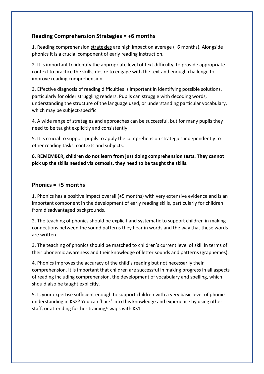# **Reading Comprehension Strategies = +6 months**

1. Reading comprehension strategies are high impact on average (+6 months). Alongside phonics it is a crucial component of early reading instruction.

2. It is important to identify the appropriate level of text difficulty, to provide appropriate context to practice the skills, desire to engage with the text and enough challenge to improve reading comprehension.

3. Effective diagnosis of reading difficulties is important in identifying possible solutions, particularly for older struggling readers. Pupils can struggle with decoding words, understanding the structure of the language used, or understanding particular vocabulary, which may be subject-specific.

4. A wide range of strategies and approaches can be successful, but for many pupils they need to be taught explicitly and consistently.

5. It is crucial to support pupils to apply the comprehension strategies independently to other reading tasks, contexts and subjects.

**6. REMEMBER, children do not learn from just doing comprehension tests. They cannot pick up the skills needed via osmosis, they need to be taught the skills.**

# **Phonics = +5 months**

1. Phonics has a positive impact overall (+5 months) with very extensive evidence and is an important component in the development of early reading skills, particularly for children from disadvantaged backgrounds.

2. The teaching of phonics should be explicit and systematic to support children in making connections between the sound patterns they hear in words and the way that these words are written.

3. The teaching of phonics should be matched to children's current level of skill in terms of their phonemic awareness and their knowledge of letter sounds and patterns (graphemes).

4. Phonics improves the accuracy of the child's reading but not necessarily their comprehension. It is important that children are successful in making progress in all aspects of reading including comprehension, the development of vocabulary and spelling, which should also be taught explicitly.

5. Is your expertise sufficient enough to support children with a very basic level of phonics understanding in KS2? You can 'hack' into this knowledge and experience by using other staff, or attending further training/swaps with KS1.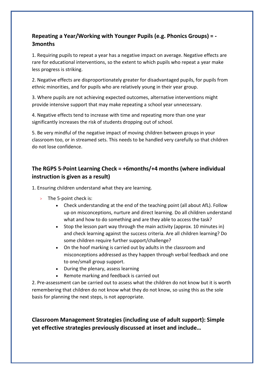# **Repeating a Year/Working with Younger Pupils (e.g. Phonics Groups) = - 3months**

1. Requiring pupils to repeat a year has a negative impact on average. Negative effects are rare for educational interventions, so the extent to which pupils who repeat a year make less progress is striking.

2. Negative effects are disproportionately greater for disadvantaged pupils, for pupils from ethnic minorities, and for pupils who are relatively young in their year group.

3. Where pupils are not achieving expected outcomes, alternative interventions might provide intensive support that may make repeating a school year unnecessary.

4. Negative effects tend to increase with time and repeating more than one year significantly increases the risk of students dropping out of school.

5. Be very mindful of the negative impact of moving children between groups in your classroom too, or in streamed sets. This needs to be handled very carefully so that children do not lose confidence.

# **The RGPS 5-Point Learning Check = +6months/+4 months (where individual instruction is given as a result)**

1. Ensuring children understand what they are learning.

- > The 5-point check is:
	- Check understanding at the end of the teaching point (all about AfL). Follow up on misconceptions, nurture and direct learning. Do all children understand what and how to do something and are they able to access the task?
	- Stop the lesson part way through the main activity (approx. 10 minutes in) and check learning against the success criteria. Are all children learning? Do some children require further support/challenge?
	- On the hoof marking is carried out by adults in the classroom and misconceptions addressed as they happen through verbal feedback and one to one/small group support.
	- During the plenary, assess learning
	- Remote marking and feedback is carried out

2. Pre-assessment can be carried out to assess what the children do not know but it is worth remembering that children do not know what they do not know, so using this as the sole basis for planning the next steps, is not appropriate.

**Classroom Management Strategies (including use of adult support): Simple yet effective strategies previously discussed at inset and include…**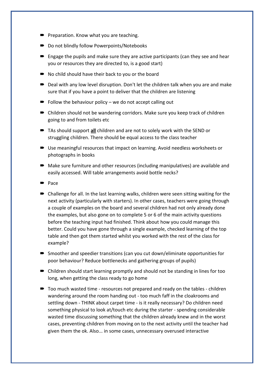- **P** Preparation. Know what you are teaching.
- Do not blindly follow Powerpoints/Notebooks
- $\blacksquare$  Engage the pupils and make sure they are active participants (can they see and hear you or resources they are directed to, is a good start)
- No child should have their back to you or the board
- Deal with any low level disruption. Don't let the children talk when you are and make sure that if you have a point to deliver that the children are listening
- $\blacksquare$  Follow the behaviour policy we do not accept calling out
- Children should not be wandering corridors. Make sure you keep track of children going to and from toilets etc
- TAs should support **all** children and are not to solely work with the SEND or struggling children. There should be equal access to the class teacher
- Use meaningful resources that impact on learning. Avoid needless worksheets or photographs in books
- Make sure furniture and other resources (including manipulatives) are available and easily accessed. Will table arrangements avoid bottle necks?
- $\blacktriangleright$  Pace
- Challenge for all. In the last learning walks, children were seen sitting waiting for the next activity (particularly with starters). In other cases, teachers were going through a couple of examples on the board and several children had not only already done the examples, but also gone on to complete 5 or 6 of the main activity questions before the teaching input had finished. Think about how you could manage this better. Could you have gone through a single example, checked learning of the top table and then got them started whilst you worked with the rest of the class for example?
- Smoother and speedier transitions (can you cut down/eliminate opportunities for poor behaviour? Reduce bottlenecks and gathering groups of pupils)
- Children should start learning promptly and should not be standing in lines for too long, when getting the class ready to go home
- Too much wasted time resources not prepared and ready on the tables children wandering around the room handing out - too much faff in the cloakrooms and settling down - THINK about carpet time - is it really necessary? Do children need something physical to look at/touch etc during the starter - spending considerable wasted time discussing something that the children already knew and in the worst cases, preventing children from moving on to the next activity until the teacher had given them the ok. Also... in some cases, unnecessary overused interactive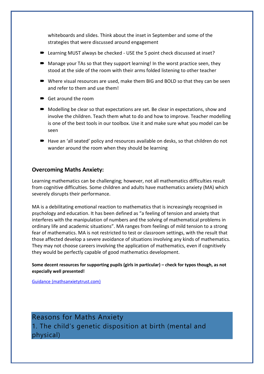whiteboards and slides. Think about the inset in September and some of the strategies that were discussed around engagement

- Learning MUST always be checked USE the 5 point check discussed at inset?
- Manage your TAs so that they support learning! In the worst practice seen, they stood at the side of the room with their arms folded listening to other teacher
- Where visual resources are used, make them BIG and BOLD so that they can be seen and refer to them and use them!
- Get around the room
- $\blacksquare$  Modelling be clear so that expectations are set. Be clear in expectations, show and involve the children. Teach them what to do and how to improve. Teacher modelling is one of the best tools in our toolbox. Use it and make sure what you model can be seen
- Have an 'all seated' policy and resources available on desks, so that children do not wander around the room when they should be learning

## **Overcoming Maths Anxiety:**

Learning mathematics can be challenging; however, not all mathematics difficulties result from cognitive difficulties. Some children and adults have mathematics anxiety (MA) which severely disrupts their performance.

MA is a debilitating emotional reaction to mathematics that is increasingly recognised in psychology and education. It has been defined as "a feeling of tension and anxiety that interferes with the manipulation of numbers and the solving of mathematical problems in ordinary life and academic situations". MA ranges from feelings of mild tension to a strong fear of mathematics. MA is not restricted to test or classroom settings, with the result that those affected develop a severe avoidance of situations involving any kinds of mathematics. They may not choose careers involving the application of mathematics, even if cognitively they would be perfectly capable of good mathematics development.

**Some decent resources for supporting pupils (girls in particular) – check for typos though, as not especially well presented!** 

[Guidance \(mathsanxietytrust.com\)](http://mathsanxietytrust.com/guidance.html)

Reasons for Maths Anxiety 1. The child's genetic disposition at birth (mental and physical)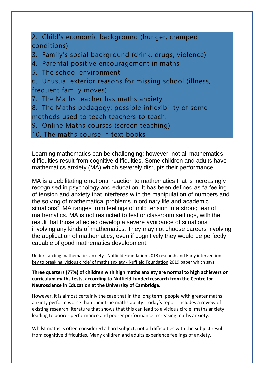2. Child's economic background (hunger, cramped conditions)

3. Family's social background (drink, drugs, violence)

4. Parental positive encouragement in maths

5. The school environment

6. Unusual exterior reasons for missing school (illness, frequent family moves)

7. The Maths teacher has maths anxiety

8. The Maths pedagogy: possible inflexibility of some methods used to teach teachers to teach.

9. Online Maths courses (screen teaching)

10. The maths course in text books

Learning mathematics can be challenging; however, not all mathematics difficulties result from cognitive difficulties. Some children and adults have mathematics anxiety (MA) which severely disrupts their performance.

MA is a debilitating emotional reaction to mathematics that is increasingly recognised in psychology and education. It has been defined as "a feeling of tension and anxiety that interferes with the manipulation of numbers and the solving of mathematical problems in ordinary life and academic situations". MA ranges from feelings of mild tension to a strong fear of mathematics. MA is not restricted to test or classroom settings, with the result that those affected develop a severe avoidance of situations involving any kinds of mathematics. They may not choose careers involving the application of mathematics, even if cognitively they would be perfectly capable of good mathematics development.

[Understanding mathematics anxiety -](https://www.nuffieldfoundation.org/project/understanding-mathematics-anxiety) Nuffield Foundation 2013 research an[d Early intervention is](https://www.nuffieldfoundation.org/news/early-intervention-is-key-to-breaking-vicious-circle-of-maths-anxiety)  [key to breaking 'vicious circle' of maths anxiety -](https://www.nuffieldfoundation.org/news/early-intervention-is-key-to-breaking-vicious-circle-of-maths-anxiety) Nuffield Foundation 2019 paper which says…

**Three quarters (77%) of children with high maths anxiety are normal to high achievers on curriculum maths tests, according to Nuffield-funded research from the Centre for Neuroscience in Education at the University of Cambridge.**

However, it is almost certainly the case that in the long term, people with greater maths anxiety perform worse than their true maths ability. Today's report includes a review of existing research literature that shows that this can lead to a vicious circle: maths anxiety leading to poorer performance and poorer performance increasing maths anxiety.

Whilst maths is often considered a hard subject, not all difficulties with the subject result from cognitive difficulties. Many children and adults experience feelings of anxiety,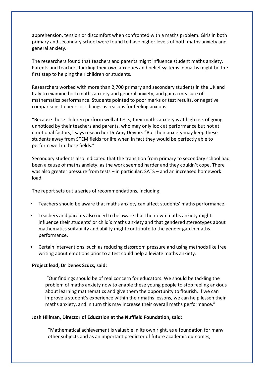apprehension, tension or discomfort when confronted with a maths problem. Girls in both primary and secondary school were found to have higher levels of both maths anxiety and general anxiety.

The researchers found that teachers and parents might influence student maths anxiety. Parents and teachers tackling their own anxieties and belief systems in maths might be the first step to helping their children or students.

Researchers worked with more than 2,700 primary and secondary students in the UK and Italy to examine both maths anxiety and general anxiety, and gain a measure of mathematics performance. Students pointed to poor marks or test results, or negative comparisons to peers or siblings as reasons for feeling anxious.

"Because these children perform well at tests, their maths anxiety is at high risk of going unnoticed by their teachers and parents, who may only look at performance but not at emotional factors," says researcher Dr Amy Devine. "But their anxiety may keep these students away from STEM fields for life when in fact they would be perfectly able to perform well in these fields."

Secondary students also indicated that the transition from primary to secondary school had been a cause of maths anxiety, as the work seemed harder and they couldn't cope. There was also greater pressure from tests – in particular, SATS – and an increased homework load.

The report sets out a series of recommendations, including:

- Teachers should be aware that maths anxiety can affect students' maths performance.
- Teachers and parents also need to be aware that their own maths anxiety might influence their students' or child's maths anxiety and that gendered stereotypes about mathematics suitability and ability might contribute to the gender gap in maths performance.
- Certain interventions, such as reducing classroom pressure and using methods like free writing about emotions prior to a test could help alleviate maths anxiety.

#### **Project lead, Dr Denes Szucs, said:**

"Our findings should be of real concern for educators. We should be tackling the problem of maths anxiety now to enable these young people to stop feeling anxious about learning mathematics and give them the opportunity to flourish. If we can improve a student's experience within their maths lessons, we can help lessen their maths anxiety, and in turn this may increase their overall maths performance."

#### **Josh Hillman, Director of Education at the Nuffield Foundation, said:**

"Mathematical achievement is valuable in its own right, as a foundation for many other subjects and as an important predictor of future academic outcomes,